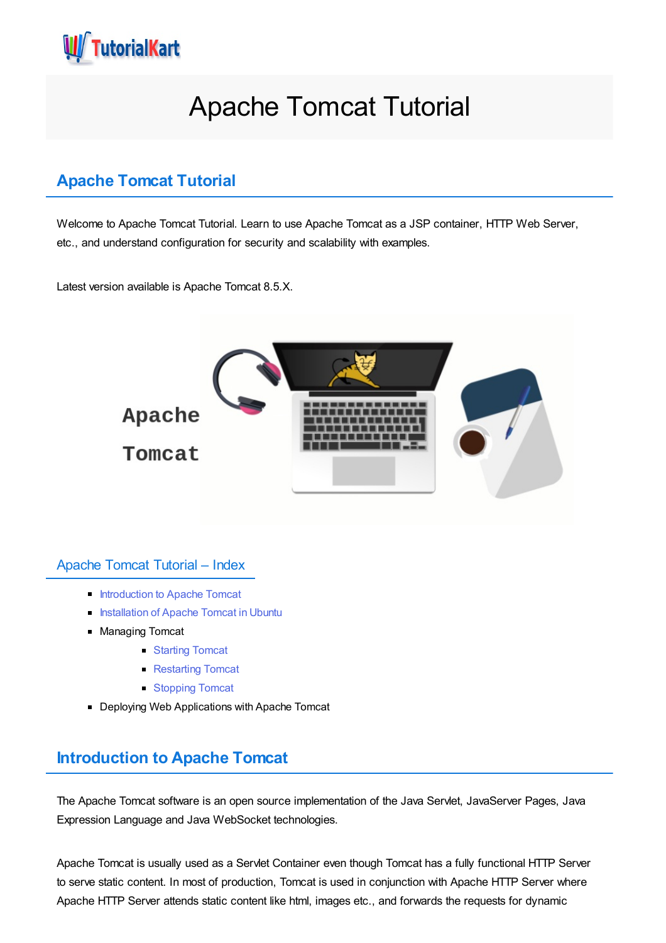<span id="page-0-0"></span>

# Apache Tomcat Tutorial

# **Apache Tomcat Tutorial**

Welcome to Apache Tomcat Tutorial. Learn to use Apache Tomcat as a JSP container, HTTP Web Server, etc., and understand configuration for security and scalability with examples.

Latest version available is Apache Tomcat 8.5.X.



#### Apache Tomcat Tutorial – Index

- **[Introduction](#page-0-0) to Apache Tomcat**
- **[Installation](#page-0-0) of Apache Tomcat in Ubuntu**
- **Managing Tomcat** 
	- [Starting](#page-0-0) Tomcat
	- [Restarting](#page-0-0) Tomcat
	- [Stopping](#page-0-0) Tomcat
- Deploying Web Applications with Apache Tomcat

# **Introduction to Apache Tomcat**

The Apache Tomcat software is an open source implementation of the Java Servlet, JavaServer Pages, Java Expression Language and Java WebSocket technologies.

Apache Tomcat is usually used as a Servlet Container even though Tomcat has a fully functional HTTP Server to serve static content. In most of production, Tomcat is used in conjunction with Apache HTTP Server where Apache HTTP Server attends static content like html, images etc., and forwards the requests for dynamic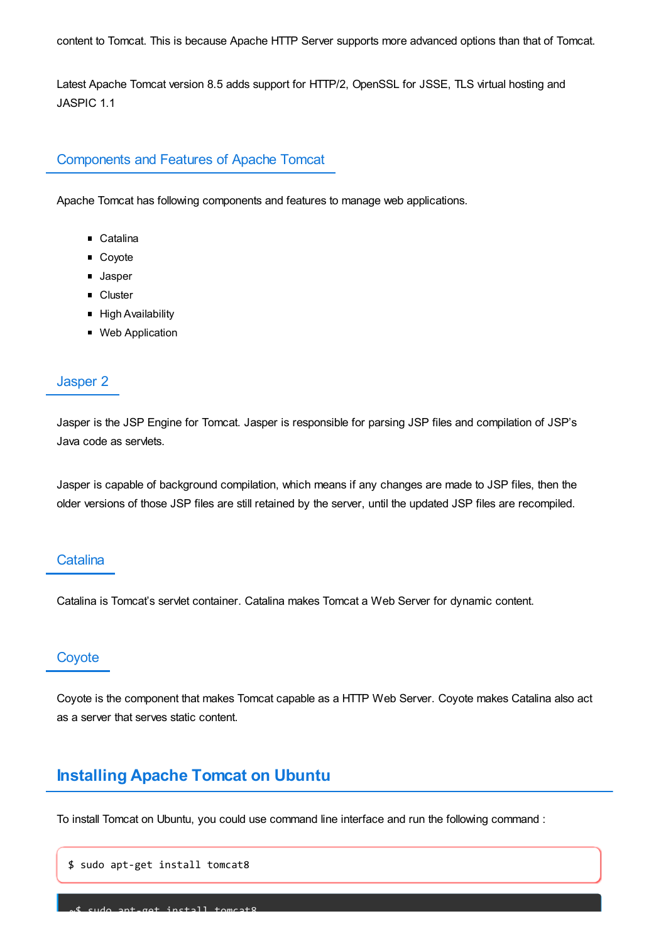content to Tomcat. This is because Apache HTTP Server supports more advanced options than that of Tomcat.

Latest Apache Tomcat version 8.5 adds support for HTTP/2, OpenSSL for JSSE, TLS virtual hosting and JASPIC 1.1

# Components and Features of Apache Tomcat

Apache Tomcat has following components and features to manage web applications.

- Catalina
- Coyote
- **Jasper**
- **Cluster**
- **High Availability**
- Web Application

#### Jasper 2

Jasper is the JSP Engine for Tomcat. Jasper is responsible for parsing JSP files and compilation of JSP's Java code as servlets.

Jasper is capable of background compilation, which means if any changes are made to JSP files, then the older versions of those JSP files are still retained by the server, until the updated JSP files are recompiled.

## **Catalina**

Catalina is Tomcat's servlet container. Catalina makes Tomcat a Web Server for dynamic content.

# **Coyote**

Coyote is the component that makes Tomcat capable as a HTTP Web Server. Coyote makes Catalina also act as a server that serves static content.

# **Installing Apache Tomcat on Ubuntu**

To install Tomcat on Ubuntu, you could use command line interface and run the following command :

\$ sudo apt-get install tomcat8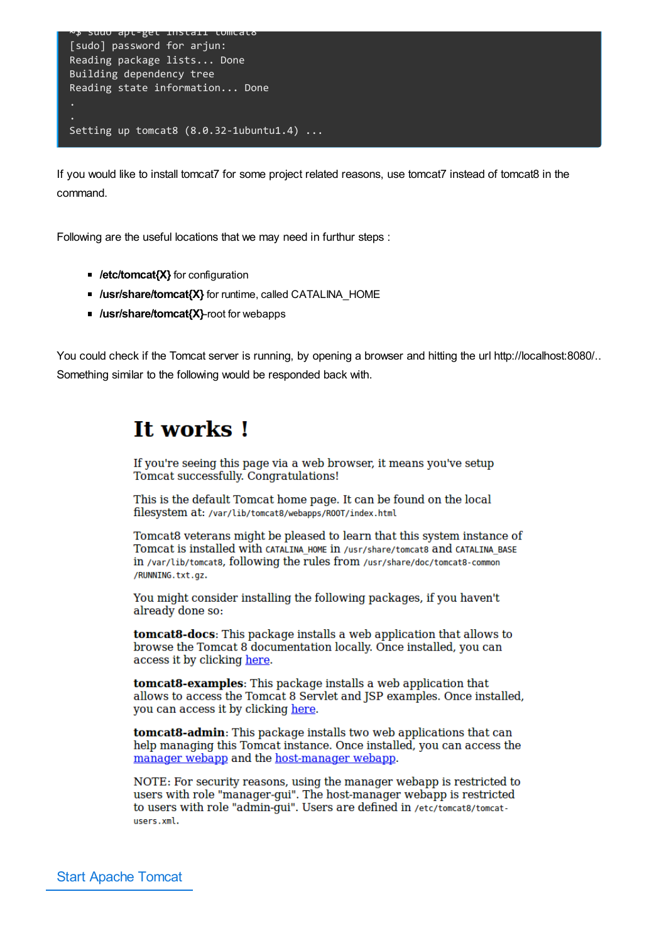

If you would like to install tomcat7 for some project related reasons, use tomcat7 instead of tomcat8 in the command.

Following are the useful locations that we may need in furthur steps :

- *I* /etc/tomcat{X} for configuration
- *I***usr/share/tomcat{X}** for runtime, called CATALINA\_HOME
- *I* /usr/share/tomcat{X}-root for webapps

You could check if the Tomcat server is running, by opening a browser and hitting the url http://localhost:8080/.. Something similar to the following would be responded back with.

# **It works!**

If you're seeing this page via a web browser, it means you've setup Tomcat successfully. Congratulations!

This is the default Tomcat home page. It can be found on the local filesystem at: /var/lib/tomcat8/webapps/R00T/index.html

Tomcat8 veterans might be pleased to learn that this system instance of Tomcat is installed with CATALINA HOME in /usr/share/tomcat8 and CATALINA BASE in /var/lib/tomcat8, following the rules from /usr/share/doc/tomcat8-common /RUNNING.txt.gz.

You might consider installing the following packages, if you haven't already done so:

**tomcat8-docs:** This package installs a web application that allows to browse the Tomcat 8 documentation locally. Once installed, you can access it by clicking here.

tomcat8-examples: This package installs a web application that allows to access the Tomcat 8 Servlet and JSP examples. Once installed, you can access it by clicking here.

tomcat8-admin: This package installs two web applications that can help managing this Tomcat instance. Once installed, you can access the manager webapp and the host-manager webapp.

NOTE: For security reasons, using the manager webapp is restricted to users with role "manager-gui". The host-manager webapp is restricted to users with role "admin-qui". Users are defined in /etc/tomcat8/tomcatusers.xml.

Start Apache Tomcat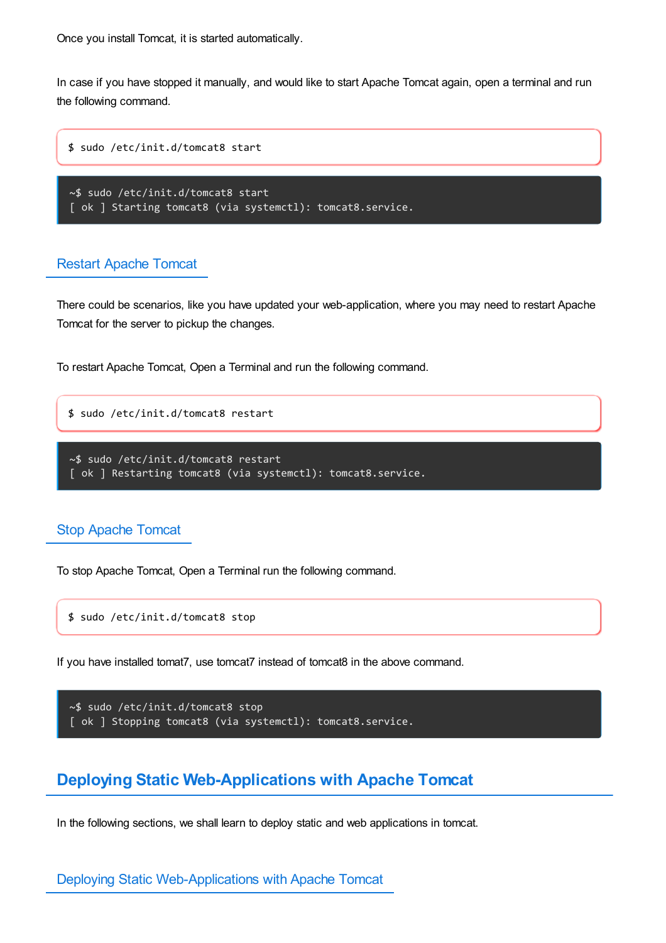Once you install Tomcat, it is started automatically.

In case if you have stopped it manually, and would like to start Apache Tomcat again, open a terminal and run the following command.

```
$ sudo /etc/init.d/tomcat8 start
```

```
~$ sudo /etc/init.d/tomcat8 start
[ ok ] Starting tomcat8 (via systemctl): tomcat8.service.
```
## Restart Apache Tomcat

There could be scenarios, like you have updated your web-application, where you may need to restart Apache Tomcat for the server to pickup the changes.

To restart Apache Tomcat, Open a Terminal and run the following command.

```
$ sudo /etc/init.d/tomcat8 restart
```

```
~$ sudo /etc/init.d/tomcat8 restart
[ ok ] Restarting tomcat8 (via systemctl): tomcat8.service.
```
# Stop Apache Tomcat

To stop Apache Tomcat, Open a Terminal run the following command.

\$ sudo /etc/init.d/tomcat8 stop

If you have installed tomat7, use tomcat7 instead of tomcat8 in the above command.

```
~$ sudo /etc/init.d/tomcat8 stop
[ ok ] Stopping tomcat8 (via systemctl): tomcat8.service.
```
# **Deploying Static Web-Applications with Apache Tomcat**

In the following sections, we shall learn to deploy static and web applications in tomcat.

Deploying Static Web-Applications with Apache Tomcat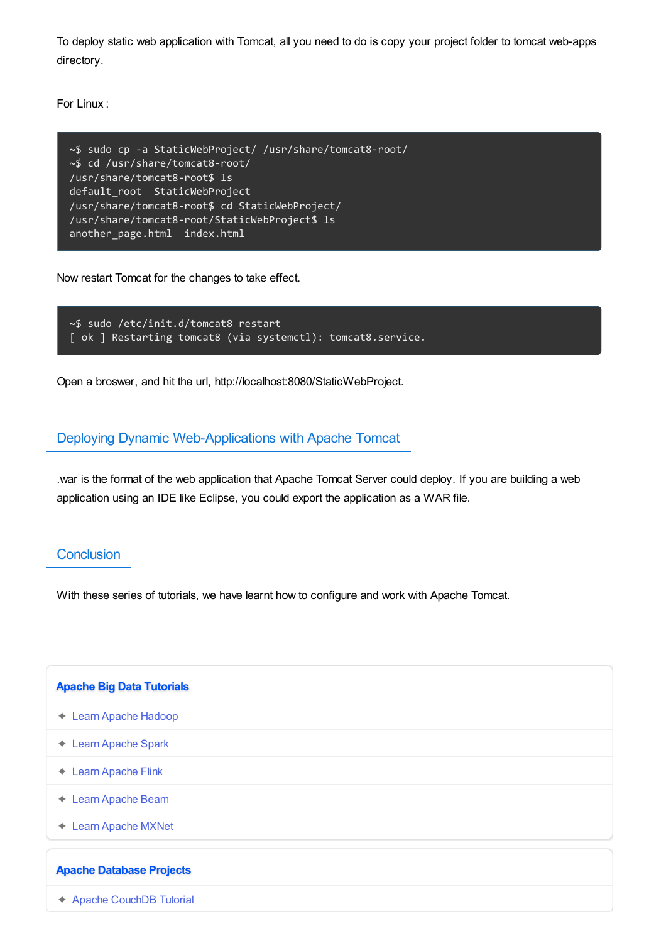To deploy static web application with Tomcat, all you need to do is copy your project folder to tomcat web-apps directory.

For Linux :

```
~$ sudo cp -a StaticWebProject/ /usr/share/tomcat8-root/
~$ cd /usr/share/tomcat8-root/
/usr/share/tomcat8-root$ ls
default_root StaticWebProject
/usr/share/tomcat8-root$ cd StaticWebProject/
/usr/share/tomcat8-root/StaticWebProject$ ls
another_page.html index.html
```
Now restart Tomcat for the changes to take effect.

```
~$ sudo /etc/init.d/tomcat8 restart
[ ok ] Restarting tomcat8 (via systemctl): tomcat8.service.
```
Open a broswer, and hit the url, http://localhost:8080/StaticWebProject.

#### Deploying Dynamic Web-Applications with Apache Tomcat

.war is the format of the web application that Apache Tomcat Server could deploy. If you are building a web application using an IDE like Eclipse, you could export the application as a WAR file.

## **Conclusion**

With these series of tutorials, we have learnt how to configure and work with Apache Tomcat.

| <b>Apache Big Data Tutorials</b>        |
|-----------------------------------------|
| ← Learn Apache Hadoop                   |
| <b>Learn Apache Spark</b><br>$\bigstar$ |
| <b>Learn Apache Flink</b><br>$\bigstar$ |
| ← Learn Apache Beam                     |
| <b>Learn Apache MXNet</b><br>✦          |
| <b>Apache Database Projects</b>         |
| ← Apache CouchDB Tutorial               |